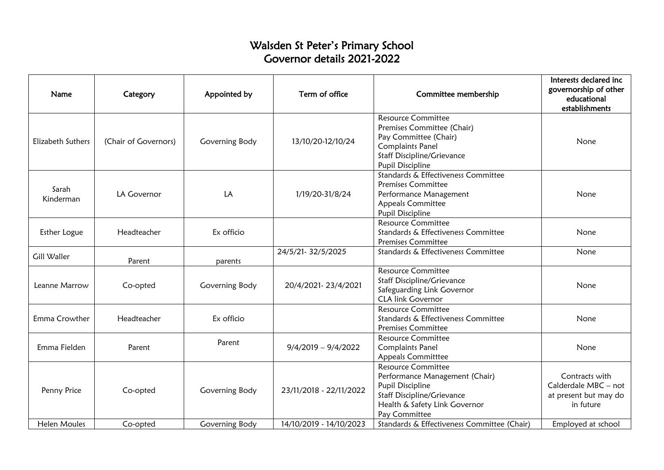## Walsden St Peter's Primary School Governor details 2021-2022

| Name                | Category             | Appointed by   | Term of office          | Committee membership                                                                                                                                                        | Interests declared inc<br>governorship of other<br>educational<br>establishments |
|---------------------|----------------------|----------------|-------------------------|-----------------------------------------------------------------------------------------------------------------------------------------------------------------------------|----------------------------------------------------------------------------------|
| Elizabeth Suthers   | (Chair of Governors) | Governing Body | 13/10/20-12/10/24       | <b>Resource Committee</b><br>Premises Committee (Chair)<br>Pay Committee (Chair)<br><b>Complaints Panel</b><br><b>Staff Discipline/Grievance</b><br><b>Pupil Discipline</b> | None                                                                             |
| Sarah<br>Kinderman  | LA Governor          | LA             | 1/19/20-31/8/24         | Standards & Effectiveness Committee<br><b>Premises Committee</b><br>Performance Management<br><b>Appeals Committee</b><br>Pupil Discipline                                  | None                                                                             |
| Esther Logue        | Headteacher          | Ex officio     |                         | <b>Resource Committee</b><br>Standards & Effectiveness Committee<br><b>Premises Committee</b>                                                                               | None                                                                             |
| Gill Waller         | Parent               | parents        | 24/5/21-32/5/2025       | Standards & Effectiveness Committee                                                                                                                                         | None                                                                             |
| Leanne Marrow       | Co-opted             | Governing Body | 20/4/2021-23/4/2021     | <b>Resource Committee</b><br><b>Staff Discipline/Grievance</b><br>Safeguarding Link Governor<br><b>CLA link Governor</b>                                                    | None                                                                             |
| Emma Crowther       | Headteacher          | Ex officio     |                         | <b>Resource Committee</b><br>Standards & Effectiveness Committee<br><b>Premises Committee</b>                                                                               | None                                                                             |
| Emma Fielden        | Parent               | Parent         | $9/4/2019 - 9/4/2022$   | <b>Resource Committee</b><br><b>Complaints Panel</b><br><b>Appeals Committtee</b>                                                                                           | None                                                                             |
| Penny Price         | Co-opted             | Governing Body | 23/11/2018 - 22/11/2022 | <b>Resource Committee</b><br>Performance Management (Chair)<br>Pupil Discipline<br><b>Staff Discipline/Grievance</b><br>Health & Safety Link Governor<br>Pay Committee      | Contracts with<br>Calderdale MBC - not<br>at present but may do<br>in future     |
| <b>Helen Moules</b> | Co-opted             | Governing Body | 14/10/2019 - 14/10/2023 | Standards & Effectiveness Committee (Chair)                                                                                                                                 | Employed at school                                                               |